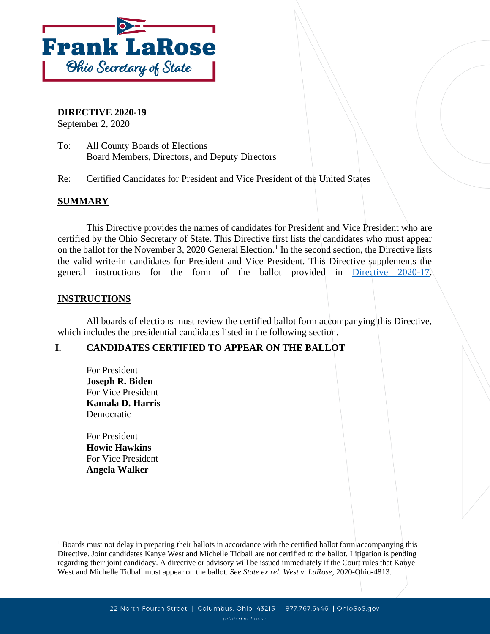

**DIRECTIVE 2020-19**

September 2, 2020

To: All County Boards of Elections Board Members, Directors, and Deputy Directors

Re: Certified Candidates for President and Vice President of the United States

### **SUMMARY**

This Directive provides the names of candidates for President and Vice President who are certified by the Ohio Secretary of State. This Directive first lists the candidates who must appear on the ballot for the November 3, 2020 General Election.<sup>1</sup> In the second section, the Directive lists the valid write-in candidates for President and Vice President. This Directive supplements the general instructions for the form of the ballot provided in [Directive 2020-17.](https://www.ohiosos.gov/globalassets/elections/directives/2020/dir2020-17.pdf)

#### **INSTRUCTIONS**

All boards of elections must review the certified ballot form accompanying this Directive, which includes the presidential candidates listed in the following section.

### **I. CANDIDATES CERTIFIED TO APPEAR ON THE BALLOT**

For President **Joseph R. Biden** For Vice President **Kamala D. Harris** Democratic

For President **Howie Hawkins** For Vice President **Angela Walker**

<sup>&</sup>lt;sup>1</sup> Boards must not delay in preparing their ballots in accordance with the certified ballot form accompanying this Directive. Joint candidates Kanye West and Michelle Tidball are not certified to the ballot. Litigation is pending regarding their joint candidacy. A directive or advisory will be issued immediately if the Court rules that Kanye West and Michelle Tidball must appear on the ballot. *See State ex rel. West v. LaRose*, 2020-Ohio-4813.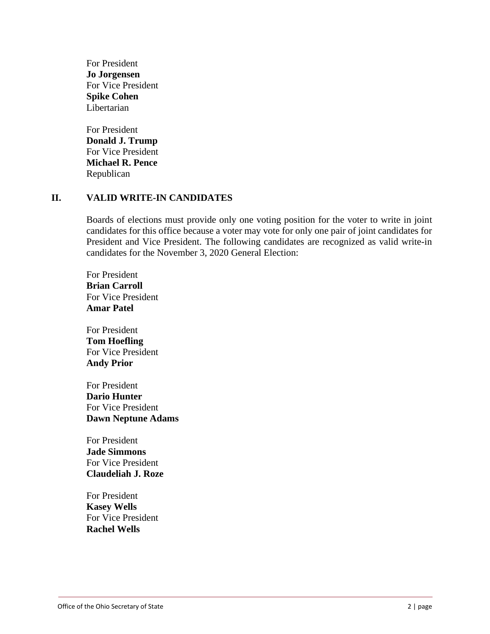For President **Jo Jorgensen** For Vice President **Spike Cohen** Libertarian

For President **Donald J. Trump** For Vice President **Michael R. Pence** Republican

#### **II. VALID WRITE-IN CANDIDATES**

Boards of elections must provide only one voting position for the voter to write in joint candidates for this office because a voter may vote for only one pair of joint candidates for President and Vice President. The following candidates are recognized as valid write-in candidates for the November 3, 2020 General Election:

For President **Brian Carroll** For Vice President **Amar Patel**

For President **Tom Hoefling** For Vice President **Andy Prior**

For President **Dario Hunter** For Vice President **Dawn Neptune Adams**

For President **Jade Simmons** For Vice President **Claudeliah J. Roze**

For President **Kasey Wells** For Vice President **Rachel Wells**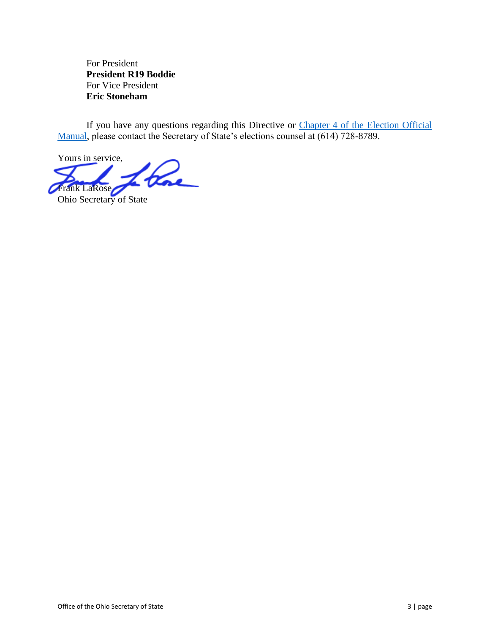For President **President R19 Boddie** For Vice President **Eric Stoneham**

If you have any questions regarding this Directive or Chapter 4 of the Election Official [Manual,](https://www.sos.state.oh.us/globalassets/elections/directives/2019/eom_12-2019/eom_ch4_2019-12-18.pdf) please contact the Secretary of State's elections counsel at (614) 728-8789.

Yours in service, blac Frank LaRose Ohio Secretary of State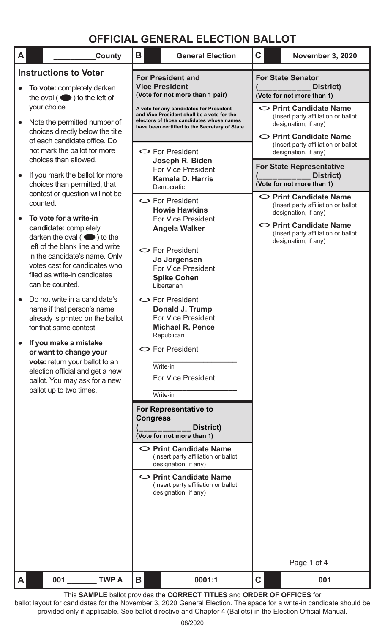| A         | County                                                                                                                                                                           | B                                                                                                                                                                                                                                               | <b>General Election</b>                                                                                          | $\mathbf C$                                                                                 | <b>November 3, 2020</b>                                                                     |  |
|-----------|----------------------------------------------------------------------------------------------------------------------------------------------------------------------------------|-------------------------------------------------------------------------------------------------------------------------------------------------------------------------------------------------------------------------------------------------|------------------------------------------------------------------------------------------------------------------|---------------------------------------------------------------------------------------------|---------------------------------------------------------------------------------------------|--|
|           | <b>Instructions to Voter</b>                                                                                                                                                     |                                                                                                                                                                                                                                                 | <b>For President and</b>                                                                                         |                                                                                             | <b>For State Senator</b>                                                                    |  |
|           | To vote: completely darken<br>the oval $($ $\bullet)$ to the left of                                                                                                             | <b>Vice President</b><br>(Vote for not more than 1 pair)<br>A vote for any candidates for President<br>and Vice President shall be a vote for the<br>electors of those candidates whose names<br>have been certified to the Secretary of State. |                                                                                                                  | District)<br>(Vote for not more than 1)                                                     |                                                                                             |  |
| $\bullet$ | your choice.<br>Note the permitted number of                                                                                                                                     |                                                                                                                                                                                                                                                 |                                                                                                                  | $\circ$ Print Candidate Name<br>(Insert party affiliation or ballot<br>designation, if any) |                                                                                             |  |
|           | choices directly below the title<br>of each candidate office. Do<br>not mark the ballot for more<br>choices than allowed.                                                        | $\bullet$ For President<br>Joseph R. Biden<br><b>For Vice President</b><br><b>Kamala D. Harris</b><br>Democratic                                                                                                                                |                                                                                                                  | O Print Candidate Name<br>(Insert party affiliation or ballot<br>designation, if any)       |                                                                                             |  |
| $\bullet$ | If you mark the ballot for more<br>choices than permitted, that                                                                                                                  |                                                                                                                                                                                                                                                 |                                                                                                                  |                                                                                             | <b>For State Representative</b><br>District)<br>(Vote for not more than 1)                  |  |
|           | contest or question will not be<br>counted.                                                                                                                                      | $\bullet$ For President<br><b>Howie Hawkins</b><br><b>For Vice President</b><br><b>Angela Walker</b>                                                                                                                                            |                                                                                                                  |                                                                                             | $\circ$ Print Candidate Name<br>(Insert party affiliation or ballot<br>designation, if any) |  |
|           | To vote for a write-in<br>candidate: completely<br>darken the oval $($ $\bullet)$ to the                                                                                         |                                                                                                                                                                                                                                                 |                                                                                                                  | $\circ$ Print Candidate Name<br>(Insert party affiliation or ballot<br>designation, if any) |                                                                                             |  |
|           | left of the blank line and write<br>in the candidate's name. Only<br>votes cast for candidates who<br>filed as write-in candidates<br>can be counted.                            |                                                                                                                                                                                                                                                 | $\bullet$ For President<br>Jo Jorgensen<br><b>For Vice President</b><br><b>Spike Cohen</b><br>Libertarian        |                                                                                             |                                                                                             |  |
|           | Do not write in a candidate's<br>name if that person's name<br>already is printed on the ballot<br>for that same contest.                                                        |                                                                                                                                                                                                                                                 | $\bullet$ For President<br>Donald J. Trump<br><b>For Vice President</b><br><b>Michael R. Pence</b><br>Republican |                                                                                             |                                                                                             |  |
|           | If you make a mistake<br>or want to change your<br>vote: return your ballot to an<br>election official and get a new<br>ballot. You may ask for a new<br>ballot up to two times. | $\bullet$ For President<br>Write-in<br><b>For Vice President</b><br>Write-in                                                                                                                                                                    |                                                                                                                  |                                                                                             |                                                                                             |  |
|           |                                                                                                                                                                                  |                                                                                                                                                                                                                                                 | For Representative to                                                                                            |                                                                                             |                                                                                             |  |
|           |                                                                                                                                                                                  | <b>Congress</b>                                                                                                                                                                                                                                 | District)<br>(Vote for not more than 1)                                                                          |                                                                                             |                                                                                             |  |
|           |                                                                                                                                                                                  |                                                                                                                                                                                                                                                 | $\circ$ Print Candidate Name<br>(Insert party affiliation or ballot<br>designation, if any)                      |                                                                                             |                                                                                             |  |
|           |                                                                                                                                                                                  | $\circ$ Print Candidate Name<br>(Insert party affiliation or ballot<br>designation, if any)                                                                                                                                                     |                                                                                                                  |                                                                                             |                                                                                             |  |
|           |                                                                                                                                                                                  |                                                                                                                                                                                                                                                 |                                                                                                                  |                                                                                             |                                                                                             |  |
|           |                                                                                                                                                                                  |                                                                                                                                                                                                                                                 |                                                                                                                  |                                                                                             |                                                                                             |  |
|           |                                                                                                                                                                                  |                                                                                                                                                                                                                                                 |                                                                                                                  | Page 1 of 4                                                                                 |                                                                                             |  |
| A         | 001<br><b>TWP A</b>                                                                                                                                                              | Β                                                                                                                                                                                                                                               | 0001:1                                                                                                           | C                                                                                           | 001                                                                                         |  |

This **SAMPLE** ballot provides the **CORRECT TITLES** and **ORDER OF OFFICES** for ballot layout for candidates for the November 3, 2020 General Election. The space for a write-in candidate should be provided only if applicable. See ballot directive and Chapter 4 (Ballots) in the Election Official Manual.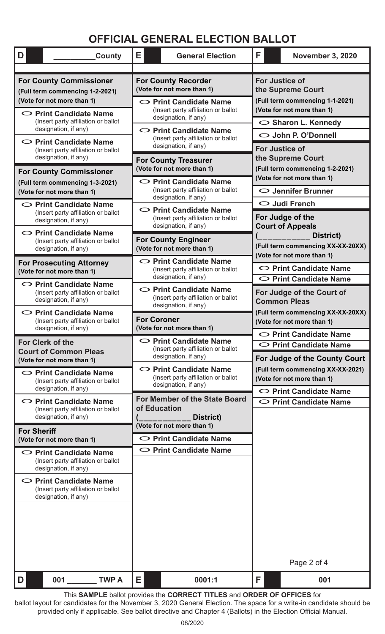| D<br>County                                                                                                                                                                                    | Е                                                                                                                                                                                                                                                                                                                   | <b>General Election</b>                                                                     | F                                                                                                                                                         | <b>November 3, 2020</b>                                                      |  |
|------------------------------------------------------------------------------------------------------------------------------------------------------------------------------------------------|---------------------------------------------------------------------------------------------------------------------------------------------------------------------------------------------------------------------------------------------------------------------------------------------------------------------|---------------------------------------------------------------------------------------------|-----------------------------------------------------------------------------------------------------------------------------------------------------------|------------------------------------------------------------------------------|--|
| <b>For County Commissioner</b><br>(Full term commencing 1-2-2021)<br>(Vote for not more than 1)<br>$\circ$ Print Candidate Name<br>(Insert party affiliation or ballot<br>designation, if any) | <b>For County Recorder</b><br>(Vote for not more than 1)<br>$\circ$ Print Candidate Name<br>(Insert party affiliation or ballot<br>designation, if any)<br>$\circ$ Print Candidate Name<br>(Insert party affiliation or ballot<br>designation, if any)<br><b>For County Treasurer</b><br>(Vote for not more than 1) |                                                                                             | <b>For Justice of</b><br>the Supreme Court<br>(Full term commencing 1-1-2021)<br>(Vote for not more than 1)<br>○ Sharon L. Kennedy<br>O John P. O'Donnell |                                                                              |  |
| $\circ$ Print Candidate Name<br>(Insert party affiliation or ballot<br>designation, if any)                                                                                                    |                                                                                                                                                                                                                                                                                                                     |                                                                                             | <b>For Justice of</b><br>the Supreme Court<br>(Full term commencing 1-2-2021)                                                                             |                                                                              |  |
| <b>For County Commissioner</b><br>(Full term commencing 1-3-2021)<br>(Vote for not more than 1)<br>$\circ$ Print Candidate Name                                                                |                                                                                                                                                                                                                                                                                                                     | $\circ$ Print Candidate Name<br>(Insert party affiliation or ballot<br>designation, if any) |                                                                                                                                                           | (Vote for not more than 1)<br>○ Jennifer Brunner                             |  |
| (Insert party affiliation or ballot<br>designation, if any)<br>$\circ$ Print Candidate Name                                                                                                    | $\circ$ Print Candidate Name<br>(Insert party affiliation or ballot<br>designation, if any)                                                                                                                                                                                                                         |                                                                                             | $\bigcirc$ Judi French<br>For Judge of the<br><b>Court of Appeals</b>                                                                                     |                                                                              |  |
| (Insert party affiliation or ballot<br>designation, if any)<br><b>For Prosecuting Attorney</b>                                                                                                 |                                                                                                                                                                                                                                                                                                                     | <b>For County Engineer</b><br>(Vote for not more than 1)<br>$\circ$ Print Candidate Name    |                                                                                                                                                           | District)<br>(Full term commencing XX-XX-20XX)<br>(Vote for not more than 1) |  |
| (Vote for not more than 1)<br>$\circ$ Print Candidate Name                                                                                                                                     |                                                                                                                                                                                                                                                                                                                     | (Insert party affiliation or ballot<br>designation, if any)<br>$\circ$ Print Candidate Name |                                                                                                                                                           | ◯ Print Candidate Name<br>O Print Candidate Name                             |  |
| (Insert party affiliation or ballot<br>designation, if any)<br>$\circ$ Print Candidate Name                                                                                                    | (Insert party affiliation or ballot<br>designation, if any)<br><b>For Coroner</b><br>(Vote for not more than 1)<br>$\circ$ Print Candidate Name                                                                                                                                                                     |                                                                                             | For Judge of the Court of<br><b>Common Pleas</b><br>(Full term commencing XX-XX-20XX)                                                                     |                                                                              |  |
| (Insert party affiliation or ballot<br>designation, if any)                                                                                                                                    |                                                                                                                                                                                                                                                                                                                     |                                                                                             | (Vote for not more than 1)<br>$\circ$ Print Candidate Name                                                                                                |                                                                              |  |
| <b>For Clerk of the</b><br><b>Court of Common Pleas</b><br>(Vote for not more than 1)                                                                                                          | (Insert party affiliation or ballot<br>designation, if any)                                                                                                                                                                                                                                                         | $\circ$ Print Candidate Name<br>For Judge of the County Court                               |                                                                                                                                                           |                                                                              |  |
| $\circ$ Print Candidate Name<br>(Insert party affiliation or ballot<br>designation, if any)                                                                                                    | $\circ$ Print Candidate Name<br>(Insert party affiliation or ballot<br>designation, if any)<br>For Member of the State Board<br>of Education<br>District)                                                                                                                                                           |                                                                                             | (Full term commencing XX-XX-2021)<br>(Vote for not more than 1)<br>◯ Print Candidate Name                                                                 |                                                                              |  |
| $\circ$ Print Candidate Name<br>(Insert party affiliation or ballot<br>designation, if any)                                                                                                    |                                                                                                                                                                                                                                                                                                                     |                                                                                             | ◯ Print Candidate Name                                                                                                                                    |                                                                              |  |
| <b>For Sheriff</b><br>(Vote for not more than 1)                                                                                                                                               | (Vote for not more than 1)<br>$\circ$ Print Candidate Name                                                                                                                                                                                                                                                          |                                                                                             |                                                                                                                                                           |                                                                              |  |
| $\circ$ Print Candidate Name<br>(Insert party affiliation or ballot<br>designation, if any)                                                                                                    |                                                                                                                                                                                                                                                                                                                     | $\circ$ Print Candidate Name                                                                |                                                                                                                                                           |                                                                              |  |
| $\circ$ Print Candidate Name<br>(Insert party affiliation or ballot<br>designation, if any)                                                                                                    |                                                                                                                                                                                                                                                                                                                     |                                                                                             |                                                                                                                                                           |                                                                              |  |
|                                                                                                                                                                                                |                                                                                                                                                                                                                                                                                                                     |                                                                                             |                                                                                                                                                           | Page 2 of 4                                                                  |  |
| 001<br><b>TWP A</b><br>D                                                                                                                                                                       | Е                                                                                                                                                                                                                                                                                                                   | 0001:1                                                                                      | F                                                                                                                                                         | 001                                                                          |  |

This **SAMPLE** ballot provides the **CORRECT TITLES** and **ORDER OF OFFICES** for ballot layout for candidates for the November 3, 2020 General Election. The space for a write-in candidate should be provided only if applicable. See ballot directive and Chapter 4 (Ballots) in the Election Official Manual.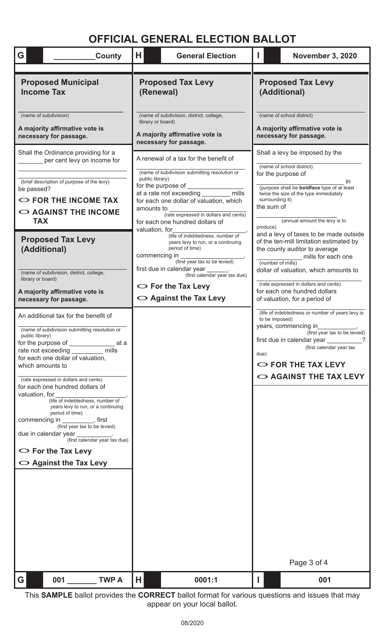| G<br>County                                                                                                                                                                                                                                                                                                                                                                                                                                                                                                                                              | H                                                                                      | <b>General Election</b>                                                                                                                                                                                                                                                                                                                                                                                                                                                   |                                                                                                        | <b>November 3, 2020</b>                                                                                                                                                                                                                                                                                                                                                                                                                                                                                                       |  |
|----------------------------------------------------------------------------------------------------------------------------------------------------------------------------------------------------------------------------------------------------------------------------------------------------------------------------------------------------------------------------------------------------------------------------------------------------------------------------------------------------------------------------------------------------------|----------------------------------------------------------------------------------------|---------------------------------------------------------------------------------------------------------------------------------------------------------------------------------------------------------------------------------------------------------------------------------------------------------------------------------------------------------------------------------------------------------------------------------------------------------------------------|--------------------------------------------------------------------------------------------------------|-------------------------------------------------------------------------------------------------------------------------------------------------------------------------------------------------------------------------------------------------------------------------------------------------------------------------------------------------------------------------------------------------------------------------------------------------------------------------------------------------------------------------------|--|
| <b>Proposed Municipal</b><br><b>Income Tax</b>                                                                                                                                                                                                                                                                                                                                                                                                                                                                                                           | <b>Proposed Tax Levy</b><br>(Renewal)                                                  |                                                                                                                                                                                                                                                                                                                                                                                                                                                                           | <b>Proposed Tax Levy</b><br>(Additional)                                                               |                                                                                                                                                                                                                                                                                                                                                                                                                                                                                                                               |  |
| (name of subdivision)<br>A majority affirmative vote is<br>necessary for passage.                                                                                                                                                                                                                                                                                                                                                                                                                                                                        | library or board)                                                                      | (name of subdivision, district, college,<br>A majority affirmative vote is<br>necessary for passage.                                                                                                                                                                                                                                                                                                                                                                      |                                                                                                        | (name of school district)<br>A majority affirmative vote is<br>necessary for passage.                                                                                                                                                                                                                                                                                                                                                                                                                                         |  |
| per cent levy on income for<br>(brief description of purpose of the levy)<br>be passed?<br>$\circ$ FOR THE INCOME TAX<br>$\circ$ AGAINST THE INCOME<br><b>TAX</b><br><b>Proposed Tax Levy</b><br>(Additional)<br>(name of subdivision, district, college,<br>library or board)<br>A majority affirmative vote is<br>necessary for passage.<br>An additional tax for the benefit of                                                                                                                                                                       | public library)<br>for the purpose of<br>amounts to<br>valuation, for<br>commencing in | (name of subdivision submitting resolution or<br>mills<br>at a rate not exceeding<br>for each one dollar of valuation, which<br>(rate expressed in dollars and cents)<br>for each one hundred dollars of<br>(life of indebtedness, number of<br>years levy to run, or a continuing<br>period of time)<br>(first year tax to be levied)<br>first due in calendar year ______.<br>(first calendar year tax due)<br>$\circ$ For the Tax Levy<br>$\circ$ Against the Tax Levy | for the purpose of<br>surrounding it)<br>the sum of<br>produce)<br>(number of mills)<br>to be imposed) | (name of school district)<br>$\mathsf{I}$<br>(purpose shall be <b>boldface</b> type of at least<br>twice the size of the type immediately<br>(annual amount the levy is to<br>and a levy of taxes to be made outside<br>of the ten-mill limitation estimated by<br>the county auditor to average<br>mills for each one<br>dollar of valuation, which amounts to<br>(rate expressed in dollars and cents)<br>for each one hundred dollars<br>of valuation, for a period of<br>(life of indebtedness or number of years levy is |  |
| (name of subdivision submitting resolution or<br>public library)<br>at a<br>for the purpose of<br>mills<br>rate not exceeding<br>for each one dollar of valuation,<br>which amounts to<br>(rate expressed in dollars and cents)<br>for each one hundred dollars of<br>valuation, for<br>(life of indebtedness, number of<br>years levy to run, or a continuing<br>period of time)<br>commencing in<br>(first year tax to be levied)<br>due in calendar year<br>(first calendar year tax due)<br>$\circ$ For the Tax Levy<br>$\circ$ Against the Tax Levy |                                                                                        |                                                                                                                                                                                                                                                                                                                                                                                                                                                                           | due)                                                                                                   | years, commencing in<br>(first year tax to be levied)<br>first due in calendar year<br>(first calendar year tax<br>$\circ$ FOR THE TAX LEVY<br>$\circ$ AGAINST THE TAX LEVY                                                                                                                                                                                                                                                                                                                                                   |  |
| 001<br><b>TWP A</b><br>G                                                                                                                                                                                                                                                                                                                                                                                                                                                                                                                                 | Н                                                                                      | 0001:1                                                                                                                                                                                                                                                                                                                                                                                                                                                                    |                                                                                                        | Page 3 of 4<br>001                                                                                                                                                                                                                                                                                                                                                                                                                                                                                                            |  |

This **SAMPLE** ballot provides the **CORRECT** ballot format for various questions and issues that may appear on your local ballot.